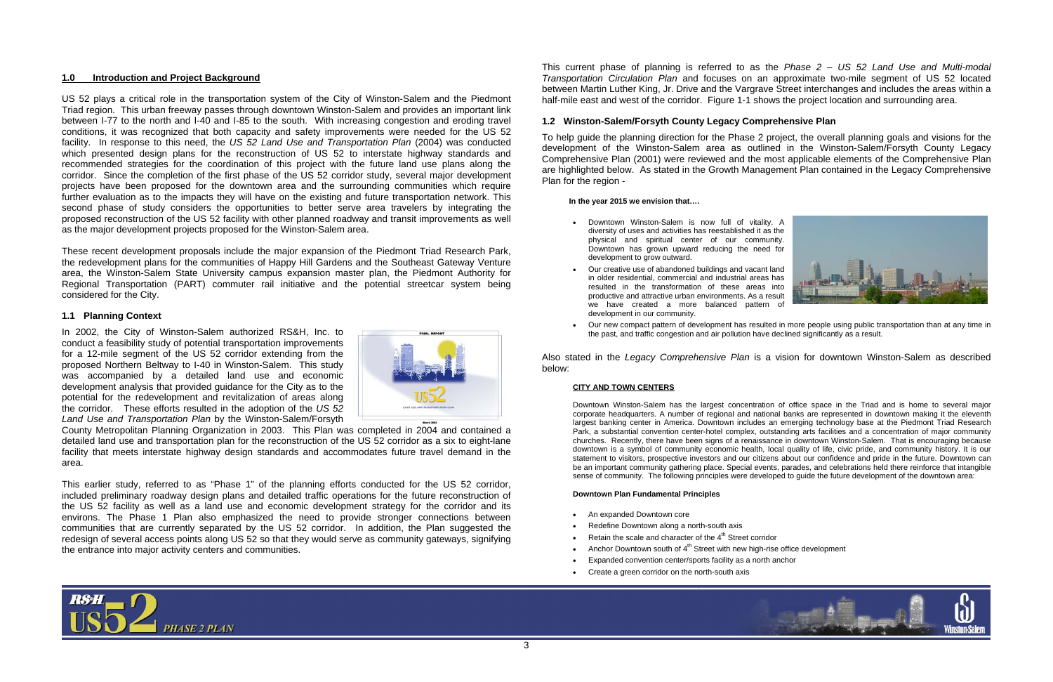

# **1.0 Introduction and Project Background**

US 52 plays a critical role in the transportation system of the City of Winston-Salem and the Piedmont Triad region. This urban freeway passes through downtown Winston-Salem and provides an important link between I-77 to the north and I-40 and I-85 to the south. With increasing congestion and eroding travel conditions, it was recognized that both capacity and safety improvements were needed for the US 52 facility. In response to this need, the *US 52 Land Use and Transportation Plan* (2004) was conducted which presented design plans for the reconstruction of US 52 to interstate highway standards and recommended strategies for the coordination of this project with the future land use plans along the corridor. Since the completion of the first phase of the US 52 corridor study, several major development projects have been proposed for the downtown area and the surrounding communities which require further evaluation as to the impacts they will have on the existing and future transportation network. This second phase of study considers the opportunities to better serve area travelers by integrating the proposed reconstruction of the US 52 facility with other planned roadway and transit improvements as well as the major development projects proposed for the Winston-Salem area.

These recent development proposals include the major expansion of the Piedmont Triad Research Park, the redevelopment plans for the communities of Happy Hill Gardens and the Southeast Gateway Venture area, the Winston-Salem State University campus expansion master plan, the Piedmont Authority for Regional Transportation (PART) commuter rail initiative and the potential streetcar system being considered for the City.

# **1.1 Planning Context**

In 2002, the City of Winston-Salem authorized RS&H, Inc. to conduct a feasibility study of potential transportation improvements for a 12-mile segment of the US 52 corridor extending from the proposed Northern Beltway to I-40 in Winston-Salem. This study was accompanied by a detailed land use and economic development analysis that provided guidance for the City as to the potential for the redevelopment and revitalization of areas along the corridor. These efforts resulted in the adoption of the *US 52 Land Use and Transportation Plan* by the Winston-Salem/Forsyth



County Metropolitan Planning Organization in 2003. This Plan was completed in 2004 and contained a detailed land use and transportation plan for the reconstruction of the US 52 corridor as a six to eight-lane facility that meets interstate highway design standards and accommodates future travel demand in the area.

This earlier study, referred to as "Phase 1" of the planning efforts conducted for the US 52 corridor, included preliminary roadway design plans and detailed traffic operations for the future reconstruction of the US 52 facility as well as a land use and economic development strategy for the corridor and its environs. The Phase 1 Plan also emphasized the need to provide stronger connections between communities that are currently separated by the US 52 corridor. In addition, the Plan suggested the redesign of several access points along US 52 so that they would serve as community gateways, signifying the entrance into major activity centers and communities.



# **1.2 Winston-Salem/Forsyth County Legacy Comprehensive Plan**

To help guide the planning direction for the Phase 2 project, the overall planning goals and visions for the development of the Winston-Salem area as outlined in the Winston-Salem/Forsyth County Legacy Comprehensive Plan (2001) were reviewed and the most applicable elements of the Comprehensive Plan are highlighted below. As stated in the Growth Management Plan contained in the Legacy Comprehensive Plan for the region -

## **In the year 2015 we envision that….**

- • Downtown Winston-Salem is now full of vitality. A diversity of uses and activities has reestablished it as the physical and spiritual center of our community. Downtown has grown upward reducing the need for development to grow outward.
- • Our creative use of abandoned buildings and vacant land in older residential, commercial and industrial areas has resulted in the transformation of these areas into productive and attractive urban environments. As a result we have created a more balanced pattern of development in our community.
- Our new compact pattern of development has resulted in more people using public transportation than at any time in the past, and traffic congestion and air pollution have declined significantly as a result.

Also stated in the *Legacy Comprehensive Plan* is a vision for downtown Winston-Salem as described below:

## **CITY AND TOWN CENTERS**

Downtown Winston-Salem has the largest concentration of office space in the Triad and is home to several major corporate headquarters. A number of regional and national banks are represented in downtown making it the eleventh largest banking center in America. Downtown includes an emerging technology base at the Piedmont Triad Research Park, a substantial convention center-hotel complex, outstanding arts facilities and a concentration of major community churches. Recently, there have been signs of a renaissance in downtown Winston-Salem. That is encouraging because downtown is a symbol of community economic health, local quality of life, civic pride, and community history. It is our statement to visitors, prospective investors and our citizens about our confidence and pride in the future. Downtown can be an important community gathering place. Special events, parades, and celebrations held there reinforce that intangible sense of community. The following principles were developed to guide the future development of the downtown area:

## **Downtown Plan Fundamental Principles**

- An expanded Downtown core
- •Redefine Downtown along a north-south axis
- •Retain the scale and character of the  $4<sup>th</sup>$  Street corridor
- Anchor Downtown south of  $4<sup>th</sup>$  Street with new high-rise office development
- •Expanded convention center/sports facility as a north anchor
- •Create a green corridor on the north-south axis

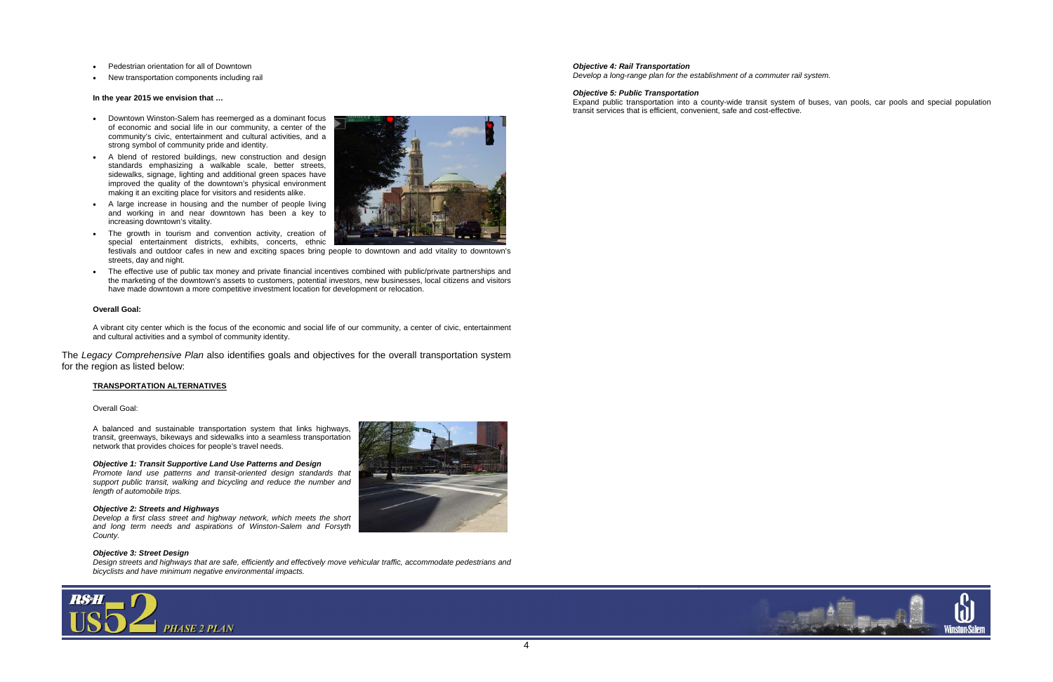

- •Pedestrian orientation for all of Downtown
- •New transportation components including rail

#### **In the year 2015 we envision that …**

- • Downtown Winston-Salem has reemerged as a dominant focus of economic and social life in our community, a center of the community's civic, entertainment and cultural activities, and a strong symbol of community pride and identity.
- A blend of restored buildings, new construction and design standards emphasizing a walkable scale, better streets, sidewalks, signage, lighting and additional green spaces have improved the quality of the downtown's physical environment making it an exciting place for visitors and residents alike.
- • A large increase in housing and the number of people living and working in and near downtown has been a key to increasing downtown's vitality.
- The growth in tourism and convention activity, creation of special entertainment districts, exhibits, concerts, ethnic festivals and outdoor cafes in new and exciting spaces bring people to downtown and add vitality to downtown's
- • The effective use of public tax money and private financial incentives combined with public/private partnerships and the marketing of the downtown's assets to customers, potential investors, new businesses, local citizens and visitors have made downtown a more competitive investment location for development or relocation.

streets, day and night.

### **Overall Goal:**

A vibrant city center which is the focus of the economic and social life of our community, a center of civic, entertainment and cultural activities and a symbol of community identity.

The *Legacy Comprehensive Plan* also identifies goals and objectives for the overall transportation system for the region as listed below:

#### **TRANSPORTATION ALTERNATIVES**

Overall Goal:

A balanced and sustainable transportation system that links highways, transit, greenways, bikeways and sidewalks into a seamless transportation network that provides choices for people's travel needs.

### *Objective 1: Transit Supportive Land Use Patterns and Design*

*Promote land use patterns and transit-oriented design standards that support public transit, walking and bicycling and reduce the number and length of automobile trips.* 

#### *Objective 2: Streets and Highways*

*Develop a first class street and highway network, which meets the short and long term needs and aspirations of Winston-Salem and Forsyth County.* 

## *Objective 3: Street Design*

*Design streets and highways that are safe, efficiently and effectively move vehicular traffic, accommodate pedestrians and bicyclists and have minimum negative environmental impacts.* 





### *Objective 4: Rail Transportation*

*Develop a long-range plan for the establishment of a commuter rail system.* 

#### *Objective 5: Public Transportation*

Expand public transportation into a county-wide transit system of buses, van pools, car pools and special population transit services that is efficient, convenient, safe and cost-effective.